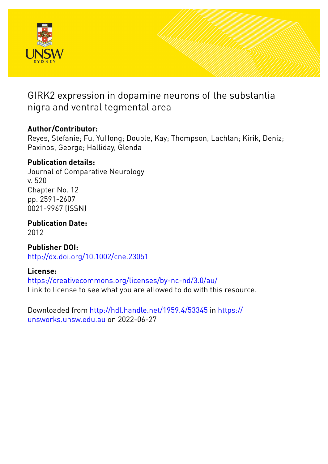

# GIRK2 expression in dopamine neurons of the substantia nigra and ventral tegmental area

## **Author/Contributor:**

Reyes, Stefanie; Fu, YuHong; Double, Kay; Thompson, Lachlan; Kirik, Deniz; Paxinos, George; Halliday, Glenda

## **Publication details:**

Journal of Comparative Neurology v. 520 Chapter No. 12 pp. 2591-2607 0021-9967 (ISSN)

**Publication Date:** 2012

**Publisher DOI:** [http://dx.doi.org/10.1002/cne.23051](http://dx.doi.org/http://dx.doi.org/10.1002/cne.23051)

## **License:**

<https://creativecommons.org/licenses/by-nc-nd/3.0/au/> Link to license to see what you are allowed to do with this resource.

Downloaded from <http://hdl.handle.net/1959.4/53345> in [https://](https://unsworks.unsw.edu.au) [unsworks.unsw.edu.au](https://unsworks.unsw.edu.au) on 2022-06-27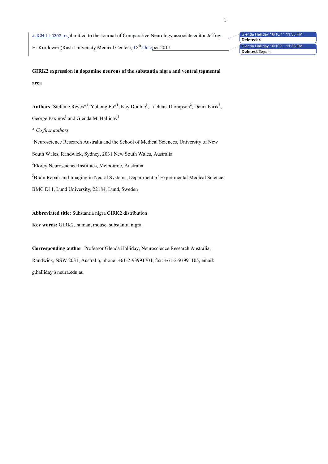# JCN-11-0302 resubmitted to the Journal of Comparative Neurology associate editor Jeffrey

H. Kordower (Rush University Medical Center), 18<sup>th</sup> October 2011

Glenda Halliday 16/10/11 11:38 PM Glenda Halliday 16/10/11 11:38 PM **Deleted:** S **Deleted:** Septem

**GIRK2 expression in dopamine neurons of the substantia nigra and ventral tegmental area**

Authors: Stefanie Reyes\*<sup>1</sup>, Yuhong Fu\*<sup>1</sup>, Kay Double<sup>1</sup>, Lachlan Thompson<sup>2</sup>, Deniz Kirik<sup>3</sup>, George Paxinos<sup>1</sup> and Glenda M. Halliday<sup>1</sup> \* *Co first authors* <sup>1</sup>Neuroscience Research Australia and the School of Medical Sciences, University of New South Wales, Randwick, Sydney, 2031 New South Wales, Australia <sup>2</sup>Florey Neuroscience Institutes, Melbourne, Australia <sup>3</sup> Brain Repair and Imaging in Neural Systems, Department of Experimental Medical Science, BMC D11, Lund University, 22184, Lund, Sweden

**Abbreviated title:** Substantia nigra GIRK2 distribution **Key words:** GIRK2, human, mouse, substantia nigra

**Corresponding author**: Professor Glenda Halliday, Neuroscience Research Australia, Randwick, NSW 2031, Australia, phone: +61-2-93991704, fax: +61-2-93991105, email: g.halliday@neura.edu.au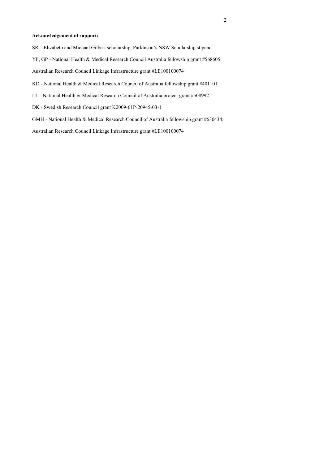## **Acknowledgement of support:**

- SR Elizabeth and Michael Gilbert scholarship, Parkinson's NSW Scholarship stipend
- YF, GP National Health & Medical Research Council Australia fellowship grant #568605;
- Australian Research Council Linkage Infrastructure grant #LE100100074
- KD National Health & Medical Research Council of Australia fellowship grant #401101
- LT National Health & Medical Research Council of Australia project grant #508992
- DK Swedish Research Council grant K2009-61P-20945-03-1
- GMH National Health & Medical Research Council of Australia fellowship grant #630434;

Australian Research Council Linkage Infrastructure grant #LE100100074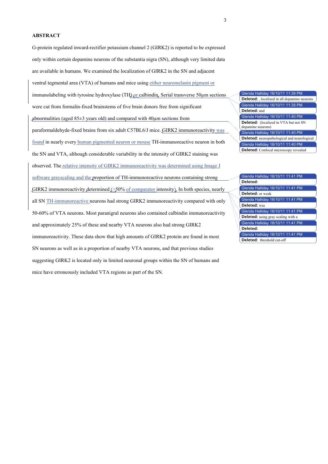## **ABSTRACT**

G-protein regulated inward-rectifier potassium channel 2 (GIRK2) is reported to be expressed only within certain dopamine neurons of the substantia nigra (SN), although very limited data are available in humans. We examined the localization of GIRK2 in the SN and adjacent ventral tegmental area (VTA) of humans and mice using either neuromelanin pigment or immunolabeling with tyrosine hydroxylase (TH) or calbindin. Serial transverse 50um sections were cut from formalin-fixed brainstems of five brain donors free from significant abnormalities (aged  $85\pm3$  years old) and compared with  $40\mu$ m sections from paraformaldehyde-fixed brains from six adult C57BL6/J mice. GIRK2 immunoreactivity was found in nearly every human pigmented neuron or mouse TH-immunoreactive neuron in both the SN and VTA, although considerable variability in the intensity of GIRK2 staining was observed. The relative intensity of GIRK2 immunoreactivity was determined using Image J software grayscaling and the proportion of TH-immunoreactive neurons containing strong GIRK2 immunoreactivity determined  $\leq 50\%$  of comparator intensity). In both species, nearly all SN TH-immunoreactive neurons had strong GIRK2 immunoreactivity compared with only 50-60% of VTA neurons. Most paranigral neurons also contained calbindin immunoreactivity and approximately 25% of these and nearby VTA neurons also had strong GIRK2 immunoreactivity. These data show that high amounts of GIRK2 protein are found in most SN neurons as well as in a proportion of nearby VTA neurons, and that previous studies suggesting GIRK2 is located only in limited neuronal groups within the SN of humans and mice have erroneously included VTA regions as part of the SN.

Glenda Halliday 16/10/11 11:39 PM Glenda Halliday 16/10/11 11:39 PM Glenda Halliday 16/10/11 11:40 PM Glenda Halliday 16/10/11 11:40 PM Glenda Halliday 16/10/11 11:40 PM **Deleted:** , localized in all dopamine neurons **Deleted:** and **Deleted:** (localized in VTA but not SN dopamine neurons) **Deleted:** neuropathological and neurological **Deleted:** Confocal microscopy revealed

Glenda Halliday 16/10/11 11:41 PM Glenda Halliday 16/10/11 11:41 PM Glenda Halliday 16/10/11 11:41 PM Glenda Halliday 16/10/11 11:41 PM Glenda Halliday 16/10/11 11:41 PM Glenda Halliday 16/10/11 11:41 PM **Deleted: Deleted:** or weak **Deleted:** was **Deleted:** using gray scaling with a **Deleted: Deleted:** threshold cut-off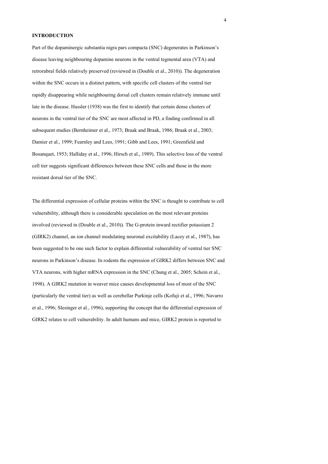## **INTRODUCTION**

Part of the dopaminergic substantia nigra pars compacta (SNC) degenerates in Parkinson's disease leaving neighbouring dopamine neurons in the ventral tegmental area (VTA) and retrorubral fields relatively preserved (reviewed in (Double et al., 2010)). The degeneration within the SNC occurs in a distinct pattern, with specific cell clusters of the ventral tier rapidly disappearing while neighbouring dorsal cell clusters remain relatively immune until late in the disease. Hassler (1938) was the first to identify that certain dense clusters of neurons in the ventral tier of the SNC are most affected in PD, a finding confirmed in all subsequent studies (Bernheimer et al., 1973; Braak and Braak, 1986; Braak et al., 2003; Damier et al., 1999; Fearnley and Lees, 1991; Gibb and Lees, 1991; Greenfield and Bosanquet, 1953; Halliday et al., 1996; Hirsch et al., 1989). This selective loss of the ventral cell tier suggests significant differences between these SNC cells and those in the more resistant dorsal tier of the SNC.

The differential expression of cellular proteins within the SNC is thought to contribute to cell vulnerability, although there is considerable speculation on the most relevant proteins involved (reviewed in (Double et al., 2010)). The G-protein inward rectifier potassium 2 (GIRK2) channel, an ion channel modulating neuronal excitability (Lacey et al., 1987), has been suggested to be one such factor to explain differential vulnerability of ventral tier SNC neurons in Parkinson's disease. In rodents the expression of GIRK2 differs between SNC and VTA neurons, with higher mRNA expression in the SNC (Chung et al., 2005; Schein et al., 1998). A GIRK2 mutation in weaver mice causes developmental loss of most of the SNC (particularly the ventral tier) as well as cerebellar Purkinje cells (Kofuji et al., 1996; Navarro et al., 1996; Slesinger et al., 1996), supporting the concept that the differential expression of GIRK2 relates to cell vulnerability. In adult humans and mice, GIRK2 protein is reported to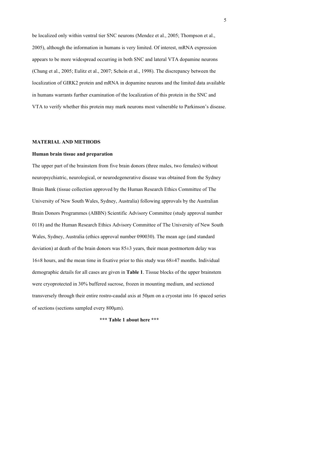be localized only within ventral tier SNC neurons (Mendez et al., 2005; Thompson et al., 2005), although the information in humans is very limited. Of interest, mRNA expression appears to be more widespread occurring in both SNC and lateral VTA dopamine neurons (Chung et al., 2005; Eulitz et al., 2007; Schein et al., 1998). The discrepancy between the localization of GIRK2 protein and mRNA in dopamine neurons and the limited data available in humans warrants further examination of the localization of this protein in the SNC and VTA to verify whether this protein may mark neurons most vulnerable to Parkinson's disease.

### **MATERIAL AND METHODS**

#### **Human brain tissue and preparation**

The upper part of the brainstem from five brain donors (three males, two females) without neuropsychiatric, neurological, or neurodegenerative disease was obtained from the Sydney Brain Bank (tissue collection approved by the Human Research Ethics Committee of The University of New South Wales, Sydney, Australia) following approvals by the Australian Brain Donors Programmes (ABBN) Scientific Advisory Committee (study approval number 0118) and the Human Research Ethics Advisory Committee of The University of New South Wales, Sydney, Australia (ethics approval number 090030). The mean age (and standard deviation) at death of the brain donors was 85±3 years, their mean postmortem delay was 16±8 hours, and the mean time in fixative prior to this study was 68±47 months. Individual demographic details for all cases are given in **Table 1**. Tissue blocks of the upper brainstem were cryoprotected in 30% buffered sucrose, frozen in mounting medium, and sectioned transversely through their entire rostro-caudal axis at 50µm on a cryostat into 16 spaced series of sections (sections sampled every 800µm).

**\*\*\* Table 1 about here \*\*\***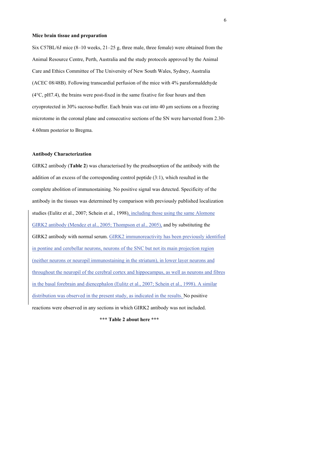#### **Mice brain tissue and preparation**

Six C57BL/6J mice (8–10 weeks, 21–25 g, three male, three female) were obtained from the Animal Resource Centre, Perth, Australia and the study protocols approved by the Animal Care and Ethics Committee of The University of New South Wales, Sydney, Australia (ACEC 08/48B). Following transcardial perfusion of the mice with 4% paraformaldehyde (4°C, pH7.4), the brains were post-fixed in the same fixative for four hours and then cryoprotected in 30% sucrose-buffer. Each brain was cut into 40 µm sections on a freezing microtome in the coronal plane and consecutive sections of the SN were harvested from 2.30- 4.60mm posterior to Bregma.

#### **Antibody Characterization**

GIRK2 antibody (**Table 2**) was characterised by the preabsorption of the antibody with the addition of an excess of the corresponding control peptide (3:1), which resulted in the complete abolition of immunostaining. No positive signal was detected. Specificity of the antibody in the tissues was determined by comparison with previously published localization studies (Eulitz et al., 2007; Schein et al., 1998), including those using the same Alomone GIRK2 antibody (Mendez et al., 2005; Thompson et al., 2005), and by substituting the GIRK2 antibody with normal serum. GIRK2 immunoreactivity has been previously identified in pontine and cerebellar neurons, neurons of the SNC but not its main projection region (neither neurons or neuropil immunostaining in the striatum), in lower layer neurons and throughout the neuropil of the cerebral cortex and hippocampus, as well as neurons and fibres in the basal forebrain and diencephalon (Eulitz et al., 2007; Schein et al., 1998). A similar distribution was observed in the present study, as indicated in the results. No positive reactions were observed in any sections in which GIRK2 antibody was not included.

**\*\*\* Table 2 about here \*\*\***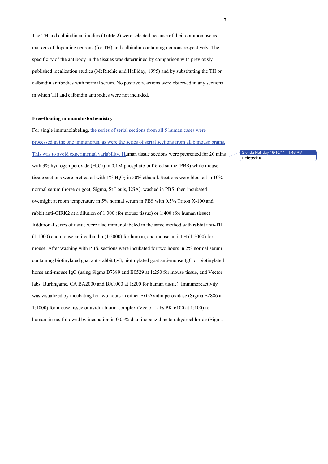The TH and calbindin antibodies (**Table 2**) were selected because of their common use as markers of dopamine neurons (for TH) and calbindin-containing neurons respectively. The specificity of the antibody in the tissues was determined by comparison with previously published localization studies (McRitchie and Halliday, 1995) and by substituting the TH or calbindin antibodies with normal serum. No positive reactions were observed in any sections in which TH and calbindin antibodies were not included.

### **Free-floating immunohistochemistry**

For single immunolabeling, the series of serial sections from all 5 human cases were processed in the one immunorun, as were the series of serial sections from all 6 mouse brains. This was to avoid experimental variability. Human tissue sections were pretreated for 20 mins with 3% hydrogen peroxide  $(H_2O_2)$  in 0.1M phosphate-buffered saline (PBS) while mouse tissue sections were pretreated with  $1\%$  H<sub>2</sub>O<sub>2</sub> in 50% ethanol. Sections were blocked in 10% normal serum (horse or goat, Sigma, St Louis, USA), washed in PBS, then incubated overnight at room temperature in 5% normal serum in PBS with 0.5% Triton X-100 and rabbit anti-GIRK2 at a dilution of 1:300 (for mouse tissue) or 1:400 (for human tissue). Additional series of tissue were also immunolabeled in the same method with rabbit anti-TH (1:1000) and mouse anti-calbindin (1:2000) for human, and mouse anti-TH (1:2000) for mouse. After washing with PBS, sections were incubated for two hours in 2% normal serum containing biotinylated goat anti-rabbit IgG, biotinylated goat anti-mouse IgG or biotinylated horse anti-mouse IgG (using Sigma B7389 and B0529 at 1:250 for mouse tissue, and Vector labs, Burlingame, CA BA2000 and BA1000 at 1:200 for human tissue). Immunoreactivity was visualized by incubating for two hours in either ExtrAvidin peroxidase (Sigma E2886 at 1:1000) for mouse tissue or avidin-biotin-complex (Vector Labs PK-6100 at 1:100) for human tissue, followed by incubation in 0.05% diaminobenzidine tetrahydrochloride (Sigma

Glenda Halliday 16/10/11 11:46 PM **Deleted:** h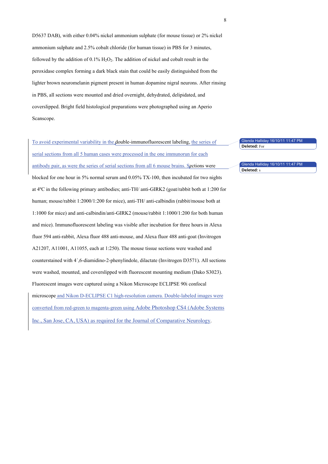D5637 DAB), with either 0.04% nickel ammonium sulphate (for mouse tissue) or 2% nickel ammonium sulphate and 2.5% cobalt chloride (for human tissue) in PBS for 3 minutes, followed by the addition of  $0.1\%$  H<sub>2</sub>O<sub>2</sub>. The addition of nickel and cobalt result in the peroxidase complex forming a dark black stain that could be easily distinguished from the lighter brown neuromelanin pigment present in human dopamine nigral neurons. After rinsing in PBS, all sections were mounted and dried overnight, dehydrated, delipidated, and coverslipped. Bright field histological preparations were photographed using an Aperio Scanscope.

To avoid experimental variability in the double-immunofluorescent labeling, the series of serial sections from all 5 human cases were processed in the one immunorun for each antibody pair, as were the series of serial sections from all 6 mouse brains. Sections were blocked for one hour in 5% normal serum and 0.05% TX-100, then incubated for two nights at 4ºC in the following primary antibodies; anti-TH/ anti-GIRK2 (goat/rabbit both at 1:200 for human; mouse/rabbit 1:2000/1:200 for mice), anti-TH/ anti-calbindin (rabbit/mouse both at 1:1000 for mice) and anti-calbindin/anti-GIRK2 (mouse/rabbit 1:1000/1:200 for both human and mice). Immunofluorescent labeling was visible after incubation for three hours in Alexa fluor 594 anti-rabbit, Alexa fluor 488 anti-mouse, and Alexa fluor 488 anti-goat (Invitrogen A21207, A11001, A11055, each at 1:250). The mouse tissue sections were washed and counterstained with 4´,6-diamidino-2-phenylindole, dilactate (Invitrogen D3571). All sections were washed, mounted, and coverslipped with fluorescent mounting medium (Dako S3023). Fluorescent images were captured using a Nikon Microscope ECLIPSE 90i confocal microscope and Nikon D-ECLIPSE C1 high-resolution camera. Double-labeled images were converted from red-green to magenta-green using Adobe Photoshop CS4 (Adobe Systems Inc., San Jose, CA, USA) as required for the Journal of Comparative Neurology. Glenda Halliday 16/10/11 11:47 PM Glenda Halliday 16/10/11 11:47 PM **Deleted:** For **Deleted:** s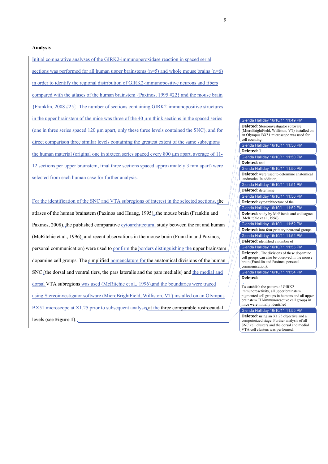#### **Analysis**

Initial comparative analyses of the GIRK2-immunoperoxidase reaction in spaced serial sections was performed for all human upper brainstems  $(n=5)$  and whole mouse brains  $(n=6)$ in order to identify the regional distribution of GIRK2-immunopositive neurons and fibers compared with the atlases of the human brainstem {Paxinos, 1995 #22} and the mouse brain {Franklin, 2008 #25}. The number of sections containing GIRK2-immunopositive structures in the upper brainstem of the mice was three of the 40  $\mu$ m think sections in the spaced series (one in three series spaced 120 um apart, only these three levels contained the SNC), and for direct comparison three similar levels containing the greatest extent of the same subregions the human material (original one in sixteen series spaced every 800 µm apart, average of 11- 12 sections per upper brainstem, final three sections spaced approximately 3 mm apart) were selected from each human case for further analysis.

For the identification of the SNC and VTA subregions of interest in the selected sections, the atlases of the human brainstem (Paxinos and Huang, 1995), the mouse brain (Franklin and Paxinos, 2008), the published comparative cytoarchitectural study between the rat and human (McRitchie et al., 1996), and recent observations in the mouse brain (Franklin and Paxinos, personal communication) were used to confirm the borders distinguishing the upper brainstem dopamine cell groups. The simplified nomenclature for the anatomical divisions of the human SNC (the dorsal and ventral tiers, the pars lateralis and the pars medialis) and the medial and dorsal VTA subregions was used (McRitchie et al., 1996) and the boundaries were traced using Stereoinvestigator software (MicroBrightField, Williston, VT) installed on an Olympus BX51 microscope at X1.25 prior to subsequent analysis at the three comparable rostrocaudal levels (see **Figure 1**).

#### Glenda Halliday 16/10/11 11:50 PM Glenda Halliday 16/10/11 11:50 PM Glenda Halliday 16/10/11 11:50 PM Glenda Halliday 16/10/11 11:51 PM Glenda Halliday 16/10/11 11:50 PM Glenda Halliday 16/10/11 11:52 PM Glenda Halliday 16/10/11 11:52 PM Glenda Halliday 16/10/11 11:52 PM Glenda Halliday 16/10/11 11:53 PM Glenda Halliday 16/10/11 11:54 PM (MicroBrightField, Williston, VT) installed on an Olympus BX51 microscope was used for cell counting. **Deleted:** T **Deleted:** and **Deleted:** were used to determine anatomical landmarks. In addition, **Deleted:** determine **Deleted:** cytoarchitecture of the **Deleted:** study by McRitchie and colleagues (McRitchie et al., 1996) **Deleted:** into four primary neuronal groups **Deleted:** identified a number of **Deleted:** . The divisions of these dopamine cell groups can also be observed in the mouse brain (Franklin and Paxinos, personal communication).

Glenda Halliday 16/10/11 11:49 PM

**Deleted:** Stereoinvestigator software

**Deleted:** 

To establish the pattern of GIRK2 immunoreactivity, all upper brainstem pigmented cell groups in humans and all upper brainstem TH-immunoreactive cell groups in mice were initially identified

## Glenda Halliday 16/10/11 11:55 PM

**Deleted:** using an X1.25 objective and a computerized stage. Further analysis of all SNC cell clusters and the dorsal and medial VTA cell clusters was performed.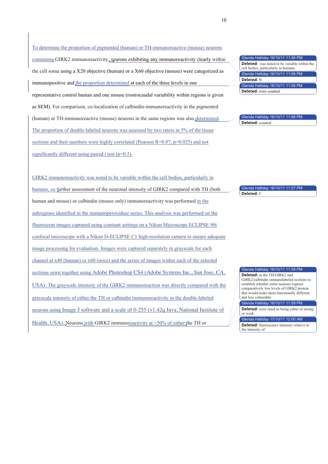#### To determine the proportion of pigmented (human) or TH-immunoreactive (mouse) neurons

containing GIRK2 immunoreactivity, neurons exhibiting any immunoreactivity clearly within the cell soma using a X20 objective (human) or a X60 objective (mouse) were categorized as immunopositive and the proportion determined at each of the three levels in one representative control human and one mouse (rostrocaudal variability within regions is given as SEM). For comparison, co-localization of calbindin-immunoreactivity in the pigmented

(human) or TH-immunoreactive (mouse) neurons in the same regions was also determined. The proportion of double-labeled neurons was assessed by two raters in 5% of the tissue sections and their numbers were highly correlated (Pearson R=0.87, p=0.025) and not significantly different using paired t test  $(p=0.5)$ .

Glenda Halliday 16/10/11 11:56 PM enda Halliday 16/10/11 11:56 PM Glenda Halliday 16/10/11 11:56 PM **Deleted:** was noted to be variable within the cell bodies, particularly in humans. **Deleted:** N **Deleted:** were counted

Glenda Halliday 16/10/11 11:56 PM **Deleted:** counted

GIRK2 immunoreactivity was noted to be variable within the cell bodies, particularly in humans, so further assessment of the neuronal intensity of GIRK2 compared with TH (both human and mouse) or calbindin (mouse only) immunoreactivity was performed in the subregions identified in the immunoperoxidase series. This analysis was performed on the fluorescent images captured using constant settings on a Nikon Microscope ECLIPSE 90i confocal microscope with a Nikon D-ECLIPSE C1 high-resolution camera to ensure adequate image processing for evaluation. Images were captured separately in grayscale for each channel at x40 (human) or x60 (mice) and the series of images within each of the selected sections sewn together using Adobe Photoshop CS4 (Adobe Systems Inc., San Jose, CA, USA). The grayscale intensity of the GIRK2 immunoreaction was directly compared with the grayscale intensity of either the TH or calbindin immunoreactivity in the double-labeled neurons using Image J software and a scale of 0-255 (v1.42q Java, National Institute of Health, USA). Neurons with GIRK2 immunoreactivity at >50% of either the TH or

Glenda Halliday 16/10/11 11:57 PM **Deleted:** F

Glenda Halliday 16/10/11 11:59 PM

**Deleted:** in the TH/GIRK2 and GIRK2/calbindin immunolabeled sections to establish whether some neurons express comparatively low levels of GIRK2 protein that would make them functionally different and less vulnerable.

Glenda Halliday 16/10/11 11:59 PM **Deleted:** were rated as being either of strong

Glenda Halliday 17/10/11 12:00 AM or weak

**Deleted:** fluorescence intensity relative to the intensity of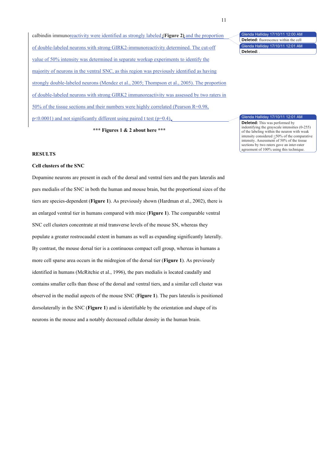calbindin immunoreactivity were identified as strongly labeled (**Figure 2)** and the proportion of double-labeled neurons with strong GIRK2-immunoreactivity determined. The cut-off value of 50% intensity was determined in separate workup experiments to identify the majority of neurons in the ventral SNC, as this region was previously identified as having strongly double-labeled neurons (Mendez et al., 2005; Thompson et al., 2005). The proportion of double-labeled neurons with strong GIRK2 immunoreactivity was assessed by two raters in 50% of the tissue sections and their numbers were highly correlated (Pearson R=0.98,  $p \le 0.0001$ ) and not significantly different using paired t test ( $p=0.4$ ).

**\*\*\* Figures 1 & 2 about here \*\*\***

#### Glenda Halliday 17/10/11 12:00 AM Glenda Halliday 17/10/11 12:01 AM **Deleted:** fluorescence within the cell **Deleted:** .

## nda Halliday 17/10/11 12:01 AM

**Deleted:** This was performed by indentifying the grayscale intensities (0-255) of the labeling within the neuron with weak intensity considered <50% of the comparative intensity. Assessment of 50% of the tissue sections by two raters gave an inter-rater agreement of 100% using this technique.

## **RESULTS**

## **Cell clusters of the SNC**

Dopamine neurons are present in each of the dorsal and ventral tiers and the pars lateralis and pars medialis of the SNC in both the human and mouse brain, but the proportional sizes of the tiers are species-dependent (**Figure 1**). As previously shown (Hardman et al., 2002), there is an enlarged ventral tier in humans compared with mice (**Figure 1**). The comparable ventral SNC cell clusters concentrate at mid transverse levels of the mouse SN, whereas they populate a greater rostrocaudal extent in humans as well as expanding significantly laterally. By contrast, the mouse dorsal tier is a continuous compact cell group, whereas in humans a more cell sparse area occurs in the midregion of the dorsal tier (**Figure 1**). As previously identified in humans (McRitchie et al., 1996), the pars medialis is located caudally and contains smaller cells than those of the dorsal and ventral tiers, and a similar cell cluster was observed in the medial aspects of the mouse SNC (**Figure 1**). The pars lateralis is positioned dorsolaterally in the SNC (**Figure 1**) and is identifiable by the orientation and shape of its neurons in the mouse and a notably decreased cellular density in the human brain.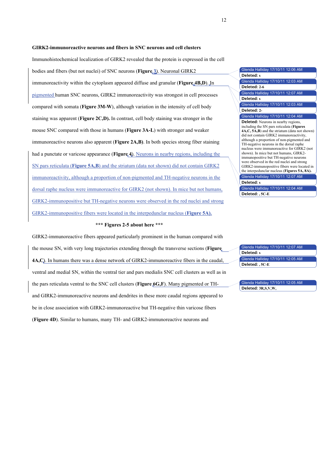#### **GIRK2-immunoreactive neurons and fibers in SNC neurons and cell clusters**

Immunohistochemical localization of GIRK2 revealed that the protein is expressed in the cell bodies and fibers (but not nuclei) of SNC neurons (**Figure 3**). Neuronal GIRK2 immunoreactivity within the cytoplasm appeared diffuse and granular (**Figure 4B,D**). In pigmented human SNC neurons, GIRK2 immunoreactivity was strongest in cell processes compared with somata (**Figure 3M-W**), although variation in the intensity of cell body staining was apparent (**Figure 2C,D).** In contrast, cell body staining was stronger in the mouse SNC compared with those in humans (**Figure 3A-L**) with stronger and weaker immunoreactive neurons also apparent (**Figure 2A,B)**. In both species strong fiber staining had a punctate or varicose appearance (**Figure 4**). Neurons in nearby regions, including the SN pars reticulata (**Figure 5A,B**) and the striatum (data not shown) did not contain GIRK2 immunoreactivity, although a proportion of non-pigmented and TH-negative neurons in the dorsal raphe nucleus were immunoreactive for GIRK2 (not shown). In mice but not humans, GIRK2-immunopositive but TH-negative neurons were observed in the red nuclei and strong GIRK2-immunopositive fibers were located in the interpedunclar nucleus (**Figure 5A).**

#### **\*\*\* Figures 2-5 about here \*\*\***

GIRK2-immunoreactive fibers appeared particularly prominent in the human compared with the mouse SN, with very long trajectories extending through the transverse sections (**Figure 4A,C**). In humans there was a dense network of GIRK2-immunoreactive fibers in the caudal, ventral and medial SN, within the ventral tier and pars medialis SNC cell clusters as well as in the pars reticulata ventral to the SNC cell clusters (**Figure 6G,F**). Many pigmented or THand GIRK2-immunoreactive neurons and dendrites in these more caudal regions appeared to be in close association with GIRK2-immunoreactive but TH-negative thin varicose fibers (**Figure 4D**). Similar to humans, many TH- and GIRK2-immunoreactive neurons and

| Glenda Halliday 17/10/11 12:06 AM                                                                                                                                                                                                                                                                                                                                                                                                                                                                                                                           |  |
|-------------------------------------------------------------------------------------------------------------------------------------------------------------------------------------------------------------------------------------------------------------------------------------------------------------------------------------------------------------------------------------------------------------------------------------------------------------------------------------------------------------------------------------------------------------|--|
| Deleted: s                                                                                                                                                                                                                                                                                                                                                                                                                                                                                                                                                  |  |
| Glenda Halliday 17/10/11 12:03 AM                                                                                                                                                                                                                                                                                                                                                                                                                                                                                                                           |  |
| Deleted: 2-6                                                                                                                                                                                                                                                                                                                                                                                                                                                                                                                                                |  |
| Glenda Halliday 17/10/11 12:07 AM                                                                                                                                                                                                                                                                                                                                                                                                                                                                                                                           |  |
| Deleted: s                                                                                                                                                                                                                                                                                                                                                                                                                                                                                                                                                  |  |
| Glenda Halliday 17/10/11 12:03 AM                                                                                                                                                                                                                                                                                                                                                                                                                                                                                                                           |  |
| Deleted: 2-                                                                                                                                                                                                                                                                                                                                                                                                                                                                                                                                                 |  |
| Glenda Halliday 17/10/11 12:04 AM                                                                                                                                                                                                                                                                                                                                                                                                                                                                                                                           |  |
| <b>Deleted:</b> Neurons in nearby regions,<br>including the SN pars reticulata (Figures<br>4A,C, 5A,B) and the striatum (data not shown)<br>did not contain GIRK2 immunoreactivity,<br>although a proportion of non-pigmented and<br>TH-negative neurons in the dorsal raphe<br>nucleus were immunoreactive for GIRK2 (not<br>shown). In mice but not humans, GIRK2-<br>immunopositive but TH-negative neurons<br>were observed in the red nuclei and strong<br>GIRK2-immunopositive fibers were located in<br>the interpedunclar nucleus (Figures 5A, 8A). |  |
| Glenda Halliday 17/10/11 12:07 AM                                                                                                                                                                                                                                                                                                                                                                                                                                                                                                                           |  |
| Deleted: s                                                                                                                                                                                                                                                                                                                                                                                                                                                                                                                                                  |  |
| Glenda Halliday 17/10/11 12:04 AM                                                                                                                                                                                                                                                                                                                                                                                                                                                                                                                           |  |

| Glenda Halliday 17/10/11 12:07 AM |
|-----------------------------------|
| Deleted: s                        |
| Glenda Halliday 17/10/11 12:05 AM |
| Deleted: , 5C-E                   |

**Deleted: , 5C-E**

Glenda Halliday 17/10/11 12:05 AM **Deleted: 3R,S,V,W,**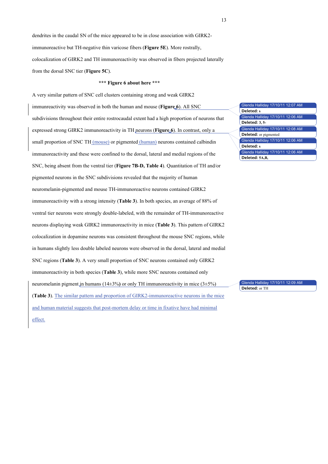dendrites in the caudal SN of the mice appeared to be in close association with GIRK2 immunoreactive but TH-negative thin varicose fibers (**Figure 5E**). More rostrally, colocalization of GIRK2 and TH immunoreactivity was observed in fibers projected laterally from the dorsal SNC tier (**Figure 5C**).

## **\*\*\* Figure 6 about here \*\*\***

A very similar pattern of SNC cell clusters containing strong and weak GIRK2 immunreactivity was observed in both the human and mouse (**Figure 6**). All SNC subdivisions throughout their entire rostrocaudal extent had a high proportion of neurons that expressed strong GIRK2 immunoreactivity in TH neurons (**Figure 6**). In contrast, only a small proportion of SNC TH (mouse) or pigmented (human) neurons contained calbindin immunoreactivity and these were confined to the dorsal, lateral and medial regions of the SNC, being absent from the ventral tier (**Figure 7B-D, Table 4**). Quantitation of TH and/or pigmented neurons in the SNC subdivisions revealed that the majority of human neuromelanin-pigmented and mouse TH-immunoreactive neurons contained GIRK2

immunoreactivity with a strong intensity (**Table 3**). In both species, an average of 88% of ventral tier neurons were strongly double-labeled, with the remainder of TH-immunoreactive neurons displaying weak GIRK2 immunoreactivity in mice (**Table 3**). This pattern of GIRK2 colocalization in dopamine neurons was consistent throughout the mouse SNC regions, while in humans slightly less double labeled neurons were observed in the dorsal, lateral and medial SNC regions (**Table 3**). A very small proportion of SNC neurons contained only GIRK2 immunoreactivity in both species (**Table 3**), while more SNC neurons contained only neuromelanin pigment in humans (14±3%**)** or only TH immunoreactivity in mice (3±5%) (**Table 3**). The similar pattern and proportion of GIRK2-immunoreactive neurons in the mice and human material suggests that post-mortem delay or time in fixative have had minimal effect.

Glenda Halliday 17/10/11 12:07 AM Glenda Halliday 17/10/11 12:06 AM Glenda Halliday 17/10/11 12:08 AM Glenda Halliday 17/10/11 12:06 AM Glenda Halliday 17/10/11 12:06 AM **Deleted: s Deleted: 3, 5- Deleted:** or pigmented **Deleted: s Deleted: 5A,B,** 

Glenda Halliday 17/10/11 12:09 AM **Deleted:** or TH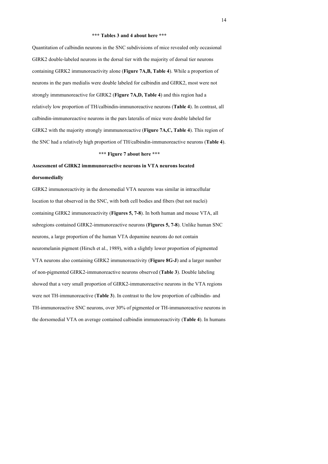#### **\*\*\* Tables 3 and 4 about here \*\*\***

Quantitation of calbindin neurons in the SNC subdivisions of mice revealed only occasional GIRK2 double-labeled neurons in the dorsal tier with the majority of dorsal tier neurons containing GIRK2 immunoreactivity alone (**Figure 7A,B, Table 4**). While a proportion of neurons in the pars medialis were double labeled for calbindin and GIRK2, most were not strongly immmunoreactive for GIRK2 (**Figure 7A,D, Table 4**) and this region had a relatively low proportion of TH/calbindin-immunoreactive neurons (**Table 4**). In contrast, all calbindin-immunoreactive neurons in the pars lateralis of mice were double labeled for GIRK2 with the majority strongly immmunoreactive (**Figure 7A,C, Table 4**). This region of the SNC had a relatively high proportion of TH/calbindin-immunoreactive neurons (**Table 4**).

## **\*\*\* Figure 7 about here \*\*\***

## **Assessment of GIRK2 immmunoreactive neurons in VTA neurons located**

#### **dorsomedially**

GIRK2 immunoreactivity in the dorsomedial VTA neurons was similar in intracellular location to that observed in the SNC, with both cell bodies and fibers (but not nuclei) containing GIRK2 immunoreactivity (**Figures 5, 7-8**). In both human and mouse VTA, all subregions contained GIRK2-immunoreactive neurons (**Figures 5, 7-8**). Unlike human SNC neurons, a large proportion of the human VTA dopamine neurons do not contain neuromelanin pigment (Hirsch et al., 1989), with a slightly lower proportion of pigmented VTA neurons also containing GIRK2 immunoreactivity (**Figure 8G-J**) and a larger number of non-pigmented GIRK2-immunoreactive neurons observed (**Table 3**). Double labeling showed that a very small proportion of GIRK2-immunoreactive neurons in the VTA regions were not TH-immunoreactive (**Table 3**). In contrast to the low proportion of calbindin- and TH-immunoreactive SNC neurons, over 30% of pigmented or TH-immunoreactive neurons in the dorsomedial VTA on average contained calbindin immunoreactivity (**Table 4**). In humans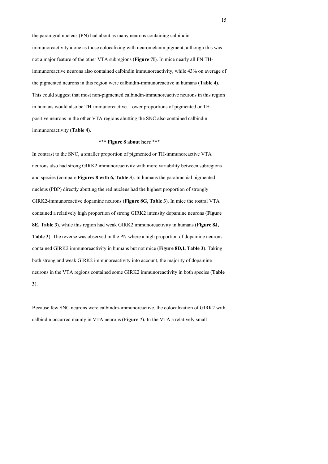the paranigral nucleus (PN) had about as many neurons containing calbindin immunoreactivity alone as those colocalizing with neuromelanin pigment, although this was not a major feature of the other VTA subregions (**Figure 7I**). In mice nearly all PN THimmunoreactive neurons also contained calbindin immunoreactivity, while 43% on average of the pigmented neurons in this region were calbindin-immunoreactive in humans (**Table 4**). This could suggest that most non-pigmented calbindin-immunoreactive neurons in this region in humans would also be TH-immunoreactive. Lower proportions of pigmented or THpositive neurons in the other VTA regions abutting the SNC also contained calbindin immunoreactivity (**Table 4**).

## **\*\*\* Figure 8 about here \*\*\***

In contrast to the SNC, a smaller proportion of pigmented or TH-immunoreactive VTA neurons also had strong GIRK2 immunoreactivity with more variability between subregions and species (compare **Figures 8 with 6, Table 3**). In humans the parabrachial pigmented nucleus (PBP) directly abutting the red nucleus had the highest proportion of strongly GIRK2-immunoreactive dopamine neurons (**Figure 8G, Table 3**). In mice the rostral VTA contained a relatively high proportion of strong GIRK2 intensity dopamine neurons (**Figure 8E, Table 3**), while this region had weak GIRK2 immunoreactivity in humans (**Figure 8J, Table 3**). The reverse was observed in the PN where a high proportion of dopamine neurons contained GIRK2 immunoreactivity in humans but not mice (**Figure 8D,I, Table 3**). Taking both strong and weak GIRK2 immunoreactivity into account, the majority of dopamine neurons in the VTA regions contained some GIRK2 immunoreactivity in both species (**Table 3**).

Because few SNC neurons were calbindin-immunoreactive, the colocalization of GIRK2 with calbindin occurred mainly in VTA neurons (**Figure 7**). In the VTA a relatively small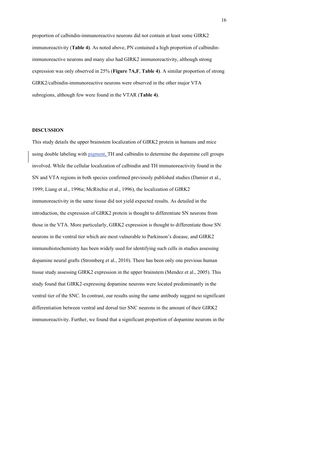proportion of calbindin-immunoreactive neurons did not contain at least some GIRK2 immunoreactivity (**Table 4)**. As noted above, PN contained a high proportion of calbindinimmunoreactive neurons and many also had GIRK2 immunoreactivity, although strong expression was only observed in 25% (**Figure 7A,F**, **Table 4)**. A similar proportion of strong GIRK2/calbindin-immunoreactive neurons were observed in the other major VTA subregions, although few were found in the VTAR (**Table 4)**.

### **DISCUSSION**

This study details the upper brainstem localization of GIRK2 protein in humans and mice using double labeling with pigment, TH and calbindin to determine the dopamine cell groups involved. While the cellular localization of calbindin and TH immunoreactivity found in the SN and VTA regions in both species confirmed previously published studies (Damier et al., 1999; Liang et al., 1996a; McRitchie et al., 1996), the localization of GIRK2 immunoreactivity in the same tissue did not yield expected results. As detailed in the introduction, the expression of GIRK2 protein is thought to differentiate SN neurons from those in the VTA. More particularly, GIRK2 expression is thought to differentiate those SN neurons in the ventral tier which are most vulnerable to Parkinson's disease, and GIRK2 immunohistochemistry has been widely used for identifying such cells in studies assessing dopamine neural grafts (Stromberg et al., 2010). There has been only one previous human tissue study assessing GIRK2 expression in the upper brainstem (Mendez et al., 2005). This study found that GIRK2-expressing dopamine neurons were located predominantly in the ventral tier of the SNC. In contrast, our results using the same antibody suggest no significant differentiation between ventral and dorsal tier SNC neurons in the amount of their GIRK2 immunoreactivity. Further, we found that a significant proportion of dopamine neurons in the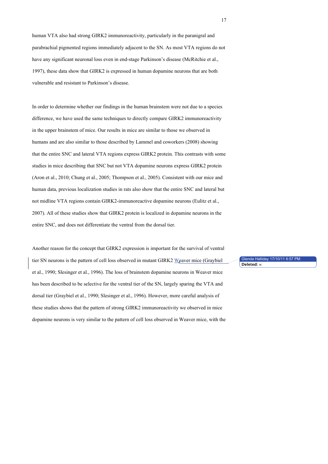human VTA also had strong GIRK2 immunoreactivity, particularly in the paranigral and parabrachial pigmented regions immediately adjacent to the SN. As most VTA regions do not have any significant neuronal loss even in end-stage Parkinson's disease (McRitchie et al., 1997), these data show that GIRK2 is expressed in human dopamine neurons that are both vulnerable and resistant to Parkinson's disease.

In order to determine whether our findings in the human brainstem were not due to a species difference, we have used the same techniques to directly compare GIRK2 immunoreactivity in the upper brainstem of mice. Our results in mice are similar to those we observed in humans and are also similar to those described by Lammel and coworkers (2008) showing that the entire SNC and lateral VTA regions express GIRK2 protein. This contrasts with some studies in mice describing that SNC but not VTA dopamine neurons express GIRK2 protein (Aron et al., 2010; Chung et al., 2005; Thompson et al., 2005). Consistent with our mice and human data, previous localization studies in rats also show that the entire SNC and lateral but not midline VTA regions contain GIRK2-immunoreactive dopamine neurons (Eulitz et al., 2007). All of these studies show that GIRK2 protein is localized in dopamine neurons in the entire SNC, and does not differentiate the ventral from the dorsal tier.

Another reason for the concept that GIRK2 expression is important for the survival of ventral tier SN neurons is the pattern of cell loss observed in mutant GIRK2 Weaver mice (Graybiel et al., 1990; Slesinger et al., 1996). The loss of brainstem dopamine neurons in Weaver mice has been described to be selective for the ventral tier of the SN, largely sparing the VTA and dorsal tier (Graybiel et al., 1990; Slesinger et al., 1996). However, more careful analysis of these studies shows that the pattern of strong GIRK2 immunoreactivity we observed in mice dopamine neurons is very similar to the pattern of cell loss observed in Weaver mice, with the

Glenda Halliday 17/10/11 6:57 PM **Deleted:** w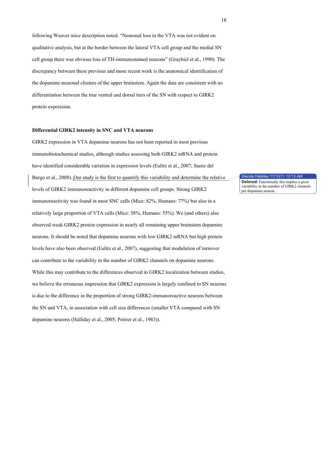following Weaver mice description noted. "Neuronal loss in the VTA was not evident on qualitative analysis, but at the border between the lateral VTA cell group and the medial SN cell group there was obvious loss of TH-immunostained neurons" (Graybiel et al., 1990). The discrepancy between these previous and more recent work is the anatomical identification of the dopamine neuronal clusters of the upper brainstem. Again the data are consistent with no differentiation between the true ventral and dorsal tiers of the SN with respect to GIRK2 protein expression.

## **Differential GIRK2 intensity in SNC and VTA neurons**

GIRK2 expression in VTA dopamine neurons has not been reported in most previous immunohistochemical studies, although studies assessing both GIRK2 mRNA and protein have identified considerable variation in expression levels (Eulitz et al., 2007; Saenz del Burgo et al., 2008). Our study is the first to quantify this variability and determine the relative levels of GIRK2 immunoreactivity in different dopamine cell groups. Strong GIRK2 immunoreactivity was found in most SNC cells (Mice: 82%, Humans: 77%) but also in a relatively large proportion of VTA cells (Mice: 58%, Humans: 55%). We (and others) also observed weak GIRK2 protein expression in nearly all remaining upper brainstem dopamine neurons. It should be noted that dopamine neurons with low GIRK2 mRNA but high protein levels have also been observed (Eulitz et al., 2007), suggesting that modulation of turnover can contribute to the variability in the number of GIRK2 channels on dopamine neurons. While this may contribute to the differences observed in GIRK2 localization between studies, we believe the erroneous impression that GIRK2 expression is largely confined to SN neurons is due to the difference in the proportion of strong GIRK2-immunoreactive neurons between the SN and VTA, in association with cell size differences (smaller VTA compared with SN dopamine neurons (Halliday et al., 2005; Poirier et al., 1983)).

nda Halliday 17/10/11 12:13 AM **Deleted:** Functionally this implies a great variability in the number of GIRK2 channels

per dopamine neuron.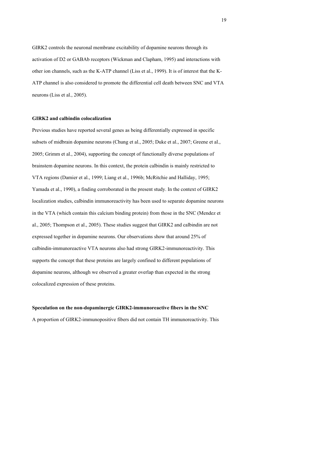GIRK2 controls the neuronal membrane excitability of dopamine neurons through its activation of D2 or GABAb receptors (Wickman and Clapham, 1995) and interactions with other ion channels, such as the K-ATP channel (Liss et al., 1999). It is of interest that the K-ATP channel is also considered to promote the differential cell death between SNC and VTA neurons (Liss et al., 2005).

## **GIRK2 and calbindin colocalization**

Previous studies have reported several genes as being differentially expressed in specific subsets of midbrain dopamine neurons (Chung et al., 2005; Duke et al., 2007; Greene et al., 2005; Grimm et al., 2004), supporting the concept of functionally diverse populations of brainstem dopamine neurons. In this context, the protein calbindin is mainly restricted to VTA regions (Damier et al., 1999; Liang et al., 1996b; McRitchie and Halliday, 1995; Yamada et al., 1990), a finding corroborated in the present study. In the context of GIRK2 localization studies, calbindin immunoreactivity has been used to separate dopamine neurons in the VTA (which contain this calcium binding protein) from those in the SNC (Mendez et al., 2005; Thompson et al., 2005). These studies suggest that GIRK2 and calbindin are not expressed together in dopamine neurons. Our observations show that around 25% of calbindin-immunoreactive VTA neurons also had strong GIRK2-immunoreactivity. This supports the concept that these proteins are largely confined to different populations of dopamine neurons, although we observed a greater overlap than expected in the strong colocalized expression of these proteins.

## **Speculation on the non-dopaminergic GIRK2-immunoreactive fibers in the SNC**

A proportion of GIRK2-immunopositive fibers did not contain TH immunoreactivity. This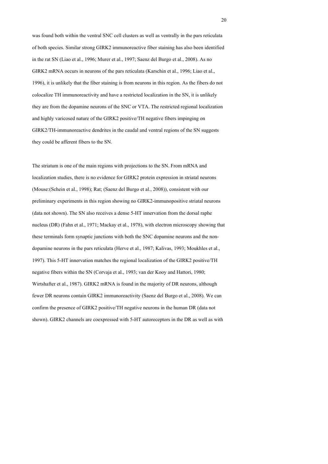was found both within the ventral SNC cell clusters as well as ventrally in the pars reticulata of both species. Similar strong GIRK2 immunoreactive fiber staining has also been identified in the rat SN (Liao et al., 1996; Murer et al., 1997; Saenz del Burgo et al., 2008). As no GIRK2 mRNA occurs in neurons of the pars reticulata (Karschin et al., 1996; Liao et al., 1996), it is unlikely that the fiber staining is from neurons in this region. As the fibers do not colocalize TH immunoreactivity and have a restricted localization in the SN, it is unlikely they are from the dopamine neurons of the SNC or VTA. The restricted regional localization and highly varicosed nature of the GIRK2 positive/TH negative fibers impinging on GIRK2/TH-immunoreactive dendrites in the caudal and ventral regions of the SN suggests they could be afferent fibers to the SN.

The striatum is one of the main regions with projections to the SN. From mRNA and localization studies, there is no evidence for GIRK2 protein expression in striatal neurons (Mouse:(Schein et al., 1998); Rat; (Saenz del Burgo et al., 2008)), consistent with our preliminary experiments in this region showing no GIRK2-immunopositive striatal neurons (data not shown). The SN also receives a dense 5-HT innervation from the dorsal raphe nucleus (DR) (Fahn et al., 1971; Mackay et al., 1978), with electron microscopy showing that these terminals form synaptic junctions with both the SNC dopamine neurons and the nondopamine neurons in the pars reticulata (Herve et al., 1987; Kalivas, 1993; Moukhles et al., 1997). This 5-HT innervation matches the regional localization of the GIRK2 positive/TH negative fibers within the SN (Corvaja et al., 1993; van der Kooy and Hattori, 1980; Wirtshafter et al., 1987). GIRK2 mRNA is found in the majority of DR neurons, although fewer DR neurons contain GIRK2 immunoreactivity (Saenz del Burgo et al., 2008). We can confirm the presence of GIRK2 positive/TH negative neurons in the human DR (data not shown). GIRK2 channels are coexpressed with 5-HT autoreceptors in the DR as well as with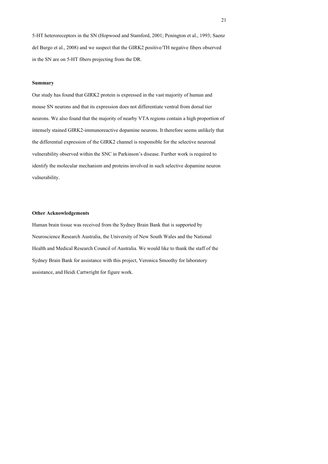5-HT heteroreceptors in the SN (Hopwood and Stamford, 2001; Penington et al., 1993; Saenz del Burgo et al., 2008) and we suspect that the GIRK2 positive/TH negative fibers observed in the SN are on 5-HT fibers projecting from the DR.

### **Summary**

Our study has found that GIRK2 protein is expressed in the vast majority of human and mouse SN neurons and that its expression does not differentiate ventral from dorsal tier neurons. We also found that the majority of nearby VTA regions contain a high proportion of intensely stained GIRK2-immunoreactive dopamine neurons. It therefore seems unlikely that the differential expression of the GIRK2 channel is responsible for the selective neuronal vulnerability observed within the SNC in Parkinson's disease. Further work is required to identify the molecular mechanism and proteins involved in such selective dopamine neuron vulnerability.

#### **Other Acknowledgements**

Human brain tissue was received from the Sydney Brain Bank that is supported by Neuroscience Research Australia, the University of New South Wales and the National Health and Medical Research Council of Australia. We would like to thank the staff of the Sydney Brain Bank for assistance with this project, Veronica Smoothy for laboratory assistance, and Heidi Cartwright for figure work.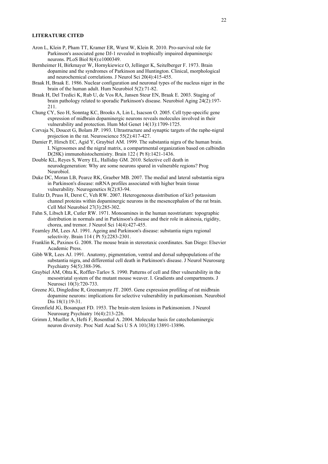#### **LITERATURE CITED**

- Aron L, Klein P, Pham TT, Kramer ER, Wurst W, Klein R. 2010. Pro-survival role for Parkinson's associated gene DJ-1 revealed in trophically impaired dopaminergic neurons. PLoS Biol 8(4):e1000349.
- Bernheimer H, Birkmayer W, Hornykiewicz O, Jellinger K, Seitelberger F. 1973. Brain dopamine and the syndromes of Parkinson and Huntington. Clinical, morphological and neurochemical correlations. J Neurol Sci 20(4):415-455.
- Braak H, Braak E. 1986. Nuclear configuration and neuronal types of the nucleus niger in the brain of the human adult. Hum Neurobiol 5(2):71-82.
- Braak H, Del Tredici K, Rub U, de Vos RA, Jansen Steur EN, Braak E. 2003. Staging of brain pathology related to sporadic Parkinson's disease. Neurobiol Aging 24(2):197- 211.
- Chung CY, Seo H, Sonntag KC, Brooks A, Lin L, Isacson O. 2005. Cell type-specific gene expression of midbrain dopaminergic neurons reveals molecules involved in their vulnerability and protection. Hum Mol Genet 14(13):1709-1725.
- Corvaja N, Doucet G, Bolam JP. 1993. Ultrastructure and synaptic targets of the raphe-nigral projection in the rat. Neuroscience 55(2):417-427.
- Damier P, Hirsch EC, Agid Y, Graybiel AM. 1999. The substantia nigra of the human brain. I. Nigrosomes and the nigral matrix, a compartmental organization based on calbindin D(28K) immunohistochemistry. Brain 122 ( Pt 8):1421-1436.
- Double KL, Reyes S, Werry EL, Halliday GM. 2010. Selective cell death in neurodegeneration: Why are some neurons spared in vulnerable regions? Prog Neurobiol.
- Duke DC, Moran LB, Pearce RK, Graeber MB. 2007. The medial and lateral substantia nigra in Parkinson's disease: mRNA profiles associated with higher brain tissue vulnerability. Neurogenetics 8(2):83-94.
- Eulitz D, Pruss H, Derst C, Veh RW. 2007. Heterogeneous distribution of kir3 potassium channel proteins within dopaminergic neurons in the mesencephalon of the rat brain. Cell Mol Neurobiol 27(3):285-302.
- Fahn S, Libsch LR, Cutler RW. 1971. Monoamines in the human neostriatum: topographic distribution in normals and in Parkinson's disease and their role in akinesia, rigidity, chorea, and tremor. J Neurol Sci 14(4):427-455.
- Fearnley JM, Lees AJ. 1991. Ageing and Parkinson's disease: substantia nigra regional selectivity. Brain 114 ( Pt 5):2283-2301.
- Franklin K, Paxinos G. 2008. The mouse brain in stereotaxic coordinates. San Diego: Elsevier Academic Press.
- Gibb WR, Lees AJ. 1991. Anatomy, pigmentation, ventral and dorsal subpopulations of the substantia nigra, and differential cell death in Parkinson's disease. J Neurol Neurosurg Psychiatry 54(5):388-396.
- Graybiel AM, Ohta K, Roffler-Tarlov S. 1990. Patterns of cell and fiber vulnerability in the mesostriatal system of the mutant mouse weaver. I. Gradients and compartments. J Neurosci 10(3):720-733.
- Greene JG, Dingledine R, Greenamyre JT. 2005. Gene expression profiling of rat midbrain dopamine neurons: implications for selective vulnerability in parkinsonism. Neurobiol Dis 18(1):19-31.
- Greenfield JG, Bosanquet FD. 1953. The brain-stem lesions in Parkinsonism. J Neurol Neurosurg Psychiatry 16(4):213-226.
- Grimm J, Mueller A, Hefti F, Rosenthal A. 2004. Molecular basis for catecholaminergic neuron diversity. Proc Natl Acad Sci U S A 101(38):13891-13896.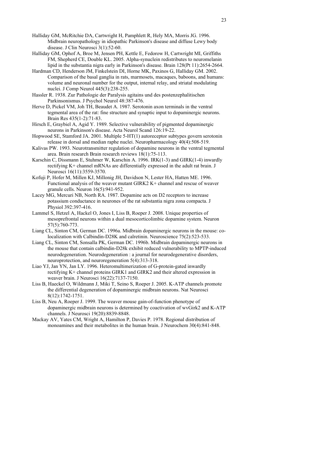- Halliday GM, McRitchie DA, Cartwright H, Pamphlett R, Hely MA, Morris JG. 1996. Midbrain neuropathology in idiopathic Parkinson's disease and diffuse Lewy body disease. J Clin Neurosci 3(1):52-60.
- Halliday GM, Ophof A, Broe M, Jensen PH, Kettle E, Fedorow H, Cartwright MI, Griffiths FM, Shepherd CE, Double KL. 2005. Alpha-synuclein redistributes to neuromelanin lipid in the substantia nigra early in Parkinson's disease. Brain 128(Pt 11):2654-2664.
- Hardman CD, Henderson JM, Finkelstein DI, Horne MK, Paxinos G, Halliday GM. 2002. Comparison of the basal ganglia in rats, marmosets, macaques, baboons, and humans: volume and neuronal number for the output, internal relay, and striatal modulating nuclei. J Comp Neurol 445(3):238-255.
- Hassler R. 1938. Zur Pathologie der Paralysis agitains und des postenzephalitischen Parkinsonismus. J Psychol Neurol 48:387-476.
- Herve D, Pickel VM, Joh TH, Beaudet A. 1987. Serotonin axon terminals in the ventral tegmental area of the rat: fine structure and synaptic input to dopaminergic neurons. Brain Res 435(1-2):71-83.
- Hirsch E, Graybiel A, Agid Y. 1989. Selective vulnerability of pigmented dopaminergic neurons in Parkinson's disease. Acta Neurol Scand 126:19-22.
- Hopwood SE, Stamford JA. 2001. Multiple 5-HT(1) autoreceptor subtypes govern serotonin release in dorsal and median raphe nuclei. Neuropharmacology 40(4):508-519.
- Kalivas PW. 1993. Neurotransmitter regulation of dopamine neurons in the ventral tegmental area. Brain research Brain research reviews 18(1):75-113.
- Karschin C, Dissmann E, Stuhmer W, Karschin A. 1996. IRK(1-3) and GIRK(1-4) inwardly rectifying K+ channel mRNAs are differentially expressed in the adult rat brain. J Neurosci 16(11):3559-3570.
- Kofuji P, Hofer M, Millen KJ, Millonig JH, Davidson N, Lester HA, Hatten ME. 1996. Functional analysis of the weaver mutant GIRK2 K+ channel and rescue of weaver granule cells. Neuron 16(5):941-952.
- Lacey MG, Mercuri NB, North RA. 1987. Dopamine acts on D2 receptors to increase potassium conductance in neurones of the rat substantia nigra zona compacta. J Physiol 392:397-416.
- Lammel S, Hetzel A, Hackel O, Jones I, Liss B, Roeper J. 2008. Unique properties of mesoprefrontal neurons within a dual mesocorticolimbic dopamine system. Neuron 57(5):760-773.
- Liang CL, Sinton CM, German DC. 1996a. Midbrain dopaminergic neurons in the mouse: colocalization with Calbindin-D28K and calretinin. Neuroscience 75(2):523-533.
- Liang CL, Sinton CM, Sonsalla PK, German DC. 1996b. Midbrain dopaminergic neurons in the mouse that contain calbindin-D28k exhibit reduced vulnerability to MPTP-induced neurodegeneration. Neurodegeneration : a journal for neurodegenerative disorders, neuroprotection, and neuroregeneration 5(4):313-318.
- Liao YJ, Jan YN, Jan LY. 1996. Heteromultimerization of G-protein-gated inwardly rectifying K+ channel proteins GIRK1 and GIRK2 and their altered expression in weaver brain. J Neurosci 16(22):7137-7150.
- Liss B, Haeckel O, Wildmann J, Miki T, Seino S, Roeper J. 2005. K-ATP channels promote the differential degeneration of dopaminergic midbrain neurons. Nat Neurosci 8(12):1742-1751.
- Liss B, Neu A, Roeper J. 1999. The weaver mouse gain-of-function phenotype of dopaminergic midbrain neurons is determined by coactivation of wvGirk2 and K-ATP channels. J Neurosci 19(20):8839-8848.
- Mackay AV, Yates CM, Wright A, Hamilton P, Davies P. 1978. Regional distribution of monoamines and their metabolites in the human brain. J Neurochem 30(4):841-848.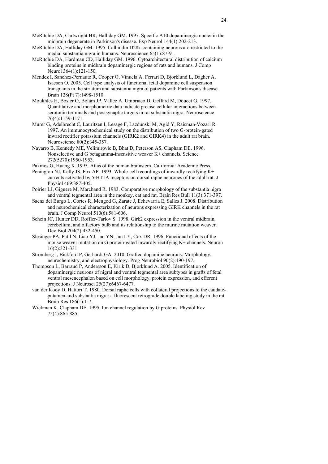- McRitchie DA, Halliday GM. 1995. Calbindin D28k-containing neurons are restricted to the medial substantia nigra in humans. Neuroscience 65(1):87-91.
- McRitchie DA, Hardman CD, Halliday GM. 1996. Cytoarchitectural distribution of calcium binding proteins in midbrain dopaminergic regions of rats and humans. J Comp Neurol 364(1):121-150.
- Mendez I, Sanchez-Pernaute R, Cooper O, Vinuela A, Ferrari D, Bjorklund L, Dagher A, Isacson O. 2005. Cell type analysis of functional fetal dopamine cell suspension transplants in the striatum and substantia nigra of patients with Parkinson's disease. Brain 128(Pt 7):1498-1510.
- Moukhles H, Bosler O, Bolam JP, Vallee A, Umbriaco D, Geffard M, Doucet G. 1997. Quantitative and morphometric data indicate precise cellular interactions between serotonin terminals and postsynaptic targets in rat substantia nigra. Neuroscience 76(4):1159-1171.
- Murer G, Adelbrecht C, Lauritzen I, Lesage F, Lazdunski M, Agid Y, Raisman-Vozari R. 1997. An immunocytochemical study on the distribution of two G-protein-gated inward rectifier potassium channels (GIRK2 and GIRK4) in the adult rat brain. Neuroscience 80(2):345-357.
- Navarro B, Kennedy ME, Velimirovic B, Bhat D, Peterson AS, Clapham DE. 1996. Nonselective and G betagamma-insensitive weaver K+ channels. Science 272(5270):1950-1953.
- Paxinos G, Huang X. 1995. Atlas of the human brainstem. California: Academic Press.
- Penington NJ, Kelly JS, Fox AP. 1993. Whole-cell recordings of inwardly rectifying K+ currents activated by 5-HT1A receptors on dorsal raphe neurones of the adult rat. J Physiol 469:387-405.
- Poirier LJ, Giguere M, Marchand R. 1983. Comparative morphology of the substantia nigra and ventral tegmental area in the monkey, cat and rat. Brain Res Bull 11(3):371-397.
- Saenz del Burgo L, Cortes R, Mengod G, Zarate J, Echevarria E, Salles J. 2008. Distribution and neurochemical characterization of neurons expressing GIRK channels in the rat brain. J Comp Neurol 510(6):581-606.
- Schein JC, Hunter DD, Roffler-Tarlov S. 1998. Girk2 expression in the ventral midbrain, cerebellum, and olfactory bulb and its relationship to the murine mutation weaver. Dev Biol 204(2):432-450.
- Slesinger PA, Patil N, Liao YJ, Jan YN, Jan LY, Cox DR. 1996. Functional effects of the mouse weaver mutation on G protein-gated inwardly rectifying K+ channels. Neuron 16(2):321-331.
- Stromberg I, Bickford P, Gerhardt GA. 2010. Grafted dopamine neurons: Morphology, neurochemistry, and electrophysiology. Prog Neurobiol 90(2):190-197.
- Thompson L, Barraud P, Andersson E, Kirik D, Bjorklund A. 2005. Identification of dopaminergic neurons of nigral and ventral tegmental area subtypes in grafts of fetal ventral mesencephalon based on cell morphology, protein expression, and efferent projections. J Neurosci 25(27):6467-6477.
- van der Kooy D, Hattori T. 1980. Dorsal raphe cells with collateral projections to the caudateputamen and substantia nigra: a fluorescent retrograde double labeling study in the rat. Brain Res 186(1):1-7.
- Wickman K, Clapham DE. 1995. Ion channel regulation by G proteins. Physiol Rev 75(4):865-885.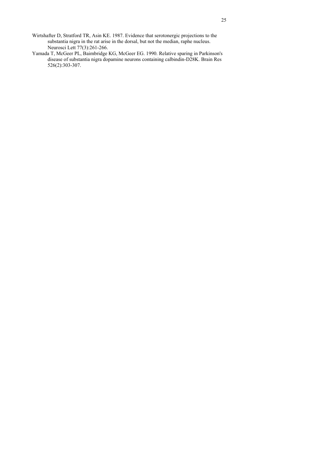- Wirtshafter D, Stratford TR, Asin KE. 1987. Evidence that serotonergic projections to the substantia nigra in the rat arise in the dorsal, but not the median, raphe nucleus. Neurosci Lett 77(3):261-266.
- Yamada T, McGeer PL, Baimbridge KG, McGeer EG. 1990. Relative sparing in Parkinson's disease of substantia nigra dopamine neurons containing calbindin-D28K. Brain Res 526(2):303-307.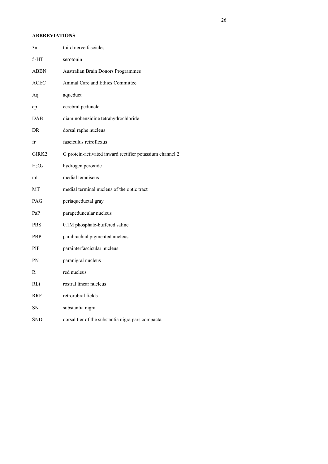## **ABBREVIATIONS**

| 3n         | third nerve fascicles                                    |
|------------|----------------------------------------------------------|
| $5-HT$     | serotonin                                                |
| ABBN       | Australian Brain Donors Programmes                       |
| ACEC       | Animal Care and Ethics Committee                         |
| Aq         | aqueduct                                                 |
| cp         | cerebral peduncle                                        |
| DAB        | diaminobenzidine tetrahydrochloride                      |
| DR         | dorsal raphe nucleus                                     |
| fr         | fasciculus retroflexus                                   |
| GIRK2      | G protein-activated inward rectifier potassium channel 2 |
| $H_2O_2$   | hydrogen peroxide                                        |
| ml         | medial lemniscus                                         |
| МT         | medial terminal nucleus of the optic tract               |
| PAG        | periaqueductal gray                                      |
| PaP        | parapeduncular nucleus                                   |
| <b>PBS</b> | 0.1M phosphate-buffered saline                           |
| PBP        | parabrachial pigmented nucleus                           |
| PIF        | parainterfascicular nucleus                              |
| PN         | paranigral nucleus                                       |
| R          | red nucleus                                              |
| RLi        | rostral linear nucleus                                   |
| RRF        | retrorubral fields                                       |
| SΝ         | substantia nigra                                         |
| <b>SND</b> | dorsal tier of the substantia nigra pars compacta        |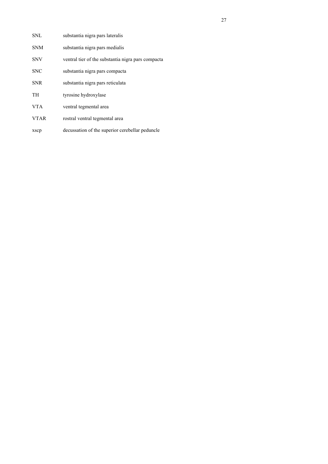| SNL        | substantia nigra pars lateralis                    |
|------------|----------------------------------------------------|
| <b>SNM</b> | substantia nigra pars medialis                     |
| <b>SNV</b> | ventral tier of the substantia nigra pars compacta |
| <b>SNC</b> | substantia nigra pars compacta                     |
| <b>SNR</b> | substantia nigra pars reticulata                   |
| TH         | tyrosine hydroxylase                               |
| VTA.       | ventral tegmental area                             |
| VTAR       | rostral ventral tegmental area                     |
|            |                                                    |

xscp decussation of the superior cerebellar peduncle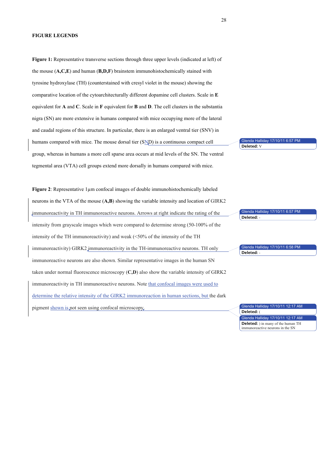**Figure 1:** Representative transverse sections through three upper levels (indicated at left) of the mouse (**A,C,E**) and human (**B,D,F**) brainstem immunohistochemically stained with tyrosine hydroxylase (TH) (counterstained with cresyl violet in the mouse) showing the comparative location of the cytoarchitecturally different dopamine cell clusters. Scale in **E** equivalent for **A** and **C**. Scale in **F** equivalent for **B** and **D**. The cell clusters in the substantia nigra (SN) are more extensive in humans compared with mice occupying more of the lateral and caudal regions of this structure. In particular, there is an enlarged ventral tier (SNV) in humans compared with mice. The mouse dorsal tier (SND) is a continuous compact cell group, whereas in humans a more cell sparse area occurs at mid levels of the SN. The ventral tegmental area (VTA) cell groups extend more dorsally in humans compared with mice. Glenda Halliday 17/10/11 6:57 **Deleted:** V

**Figure 2**: Representative 1µm confocal images of double immunohistochemically labeled neurons in the VTA of the mouse (**A,B**) showing the variable intensity and location of GIRK2 immunoreactivity in TH immunoreactive neurons. Arrows at right indicate the rating of the intensity from grayscale images which were compared to determine strong (50-100% of the intensity of the TH immunoreactivity) and weak (<50% of the intensity of the TH immunoreactivity) GIRK2 immunoreactivity in the TH-immunoreactive neurons. TH only immunoreactive neurons are also shown. Similar representative images in the human SN taken under normal fluorescence microscopy (**C,D**) also show the variable intensity of GIRK2 immunoreactivity in TH immunoreactive neurons. Note that confocal images were used to determine the relative intensity of the GIRK2 immunoreaction in human sections, but the dark pigment shown is not seen using confocal microscopy. Glenda Halliday 17/10/11 6:57 PM Glenda Halliday 17/10/11 6:58 PM Glenda Halliday 17/10/11 12:17 AM **Deleted:** - **Deleted:** -

Glenda Halliday 17/10/11 12:17 AM **Deleted:** ( **Deleted:** ) in many of the human TH immunoreactive neurons in the SN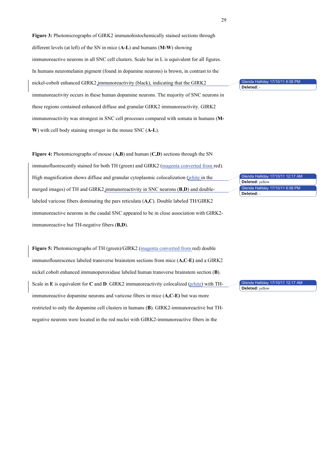**Figure 3:** Photomicrographs of GIRK2 immunohistochemically stained sections through different levels (at left) of the SN in mice (**A-L**) and humans (**M-W**) showing immunoreactive neurons in all SNC cell clusters. Scale bar in L is equivalent for all figures. In humans neuromelanin pigment (found in dopamine neurons) is brown, in contrast to the nickel-cobolt enhanced GIRK2 immunoreactivity (black), indicating that the GIRK2 immunoreactivity occurs in these human dopamine neurons. The majority of SNC neurons in these regions contained enhanced diffuse and granular GIRK2 immunoreactivity. GIRK2 immunoreactivity was strongest in SNC cell processes compared with somata in humans (**M-W**) with cell body staining stronger in the mouse SNC (**A-L**).

**Figure 4:** Photomicrographs of mouse (**A,B**) and human (**C,D**) sections through the SN immunofluorescently stained for both TH (green) and GIRK2 (magenta converted from red). High magnification shows diffuse and granular cytoplasmic colocalization (white in the merged images) of TH and GIRK2 immunoreactivity in SNC neurons (**B**,**D**) and doublelabeled varicose fibers dominating the pars reticulata (**A,C**). Double labeled TH/GIRK2 immunoreactive neurons in the caudal SNC appeared to be in close association with GIRK2 immunoreactive but TH-negative fibers (**B,D**).

**Figure 5:** Photomicrographs of TH (green)/GIRK2 (magenta converted from red) double immunoflourescence labeled transverse brainstem sections from mice (**A,C-E)** and a GIRK2 nickel cobolt enhanced immunoperoxidase labeled human transverse brainstem section (**B**). Scale in **E** is equivalent for **C** and **D**. GIRK2 immunoreactivity colocalized (white) with THimmunoreactive dopamine neurons and varicose fibers in mice (**A,C-E)** but was more restricted to only the dopamine cell clusters in humans (**B**). GIRK2-immunoreactive but THnegative neurons were located in the red nuclei with GIRK2-immunoreactive fibers in the

Glenda Hallic **Deleted:** -

Glenda Halliday 17/10/11 12:17 Glenda Halliday 17/10/11 6:58 PM **Deleted:** yellow **Deleted:** -

Glenda Halliday 17/10/11 12:17 AM **Deleted:** yellow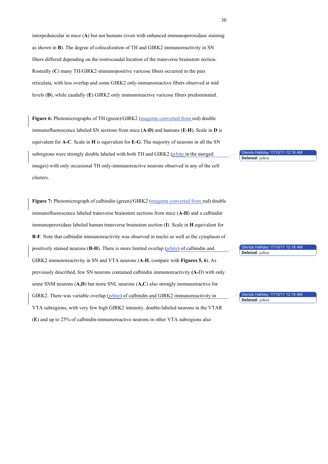interpeduncular in mice (**A**) but not humans (even with enhanced immunoperoxidase staining as shown in **B**). The degree of colocalization of TH and GIRK2 immunoreactivity in SN fibers differed depending on the rostrocaudal location of the transverse brainstem section. Rostrally (**C**) many TH/GIRK2-immunopositive varicose fibers occurred in the pars reticulata, with less overlap and some GIRK2 only-immunoreactive fibers observed at mid levels (**D**), while caudally (**E**) GIRK2 only immunoreactive varicose fibers predominated.

**Figure 6:** Photomicrographs of TH (green)/GIRK2 (magenta converted from red) double immunofluorescence labeled SN sections from mice (**A-D)** and humans (**E-H**). Scale in **D** is equivalent for **A-C**. Scale in **H** is equivalent for **E-G**. The majority of neurons in all the SN subregions were strongly double labeled with both TH and GIRK2 (white in the merged images) with only occasional TH only-immunoreactive neurons observed in any of the cell clusters.

**Figure 7:** Photomicrograph of calbindin (green)/GIRK2 (magenta converted from red) double immunofluorescence labeled transverse brainstem sections from mice (**A-H**) and a calbindin immunoperoxidase labeled human transverse brainstem section (**I**). Scale in **H** equivalent for **B-F**. Note that calbindin immunoreactivity was observed in nuclei as well as the cytoplasm of positively stained neurons (**B-H**). There is more limited overlap (white) of calbindin and GIRK2 immunoreactivity in SN and VTA neurons (**A-H**, compare with **Figures 5, 6**). As previously described, few SN neurons contained calbindin immunoreactivity **(A-**D) with only some SNM neurons (**A,D**) but more SNL neurons (**A,C**) also strongly immunoreactive for GIRK2. There was variable overlap (white) of calbindin and GIRK2 immunoreactivity in VTA subregions, with very few high GIRK2 intensity, double-labeled neurons in the VTAR (**E**) and up to 25% of calbindin-immunoreactive neurons in other VTA subregions also

Glenda Halliday 17/10/11 12:18 AM **Deleted:** yellow

Glenda Halliday 17/10/11 12:18 AM **Deleted:** yellow

Glenda Halliday 17/10/11 12:18 AM **Deleted:** yellow